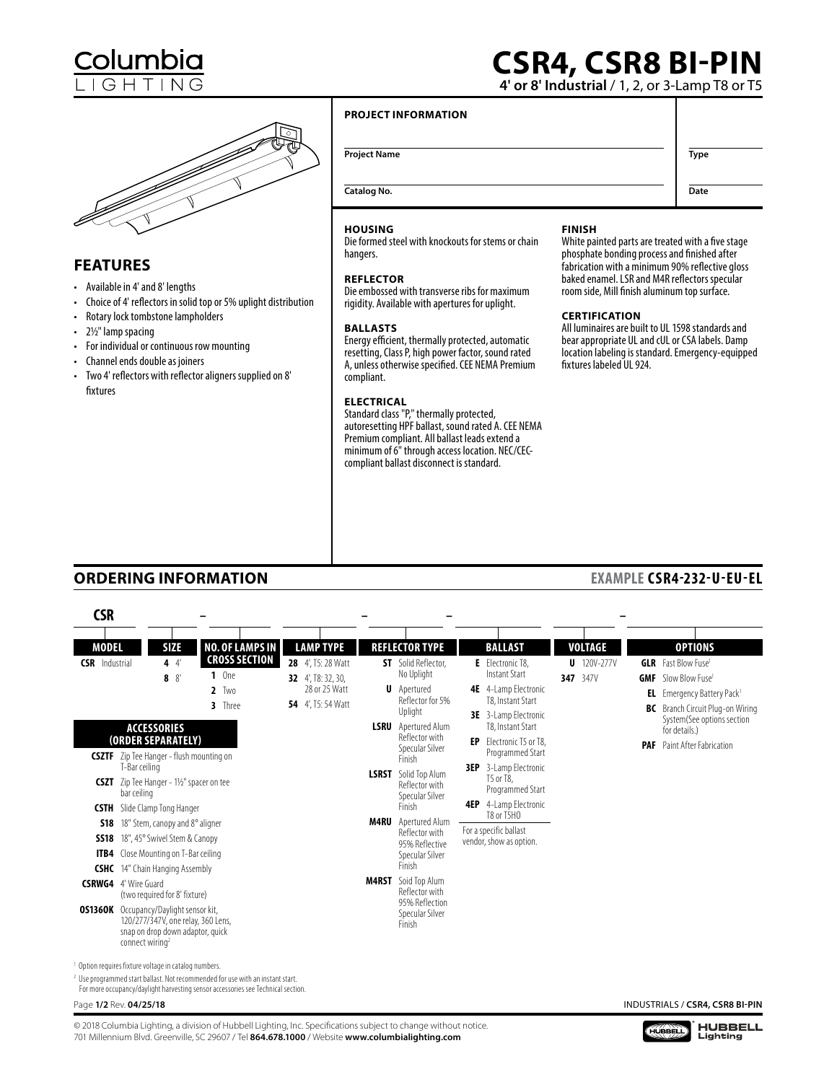# **CSR4, CSR8 BI-PIN**

**4' or 8' Industrial** / 1, 2, or 3-Lamp T8 or T5



### **FEATURES**

- Available in 4' and 8' lengths
- Choice of 4' reflectors in solid top or 5% uplight distribution
- Rotary lock tombstone lampholders
- 2½" lamp spacing
- For individual or continuous row mounting
- Channel ends double as joiners
- Two 4' reflectors with reflector aligners supplied on 8' fixtures

### **PROJECT INFORMATION**

**Project Name Type** 

**Date**

**Catalog No.**

### **HOUSING**

Die formed steel with knockouts for stems or chain hangers.

### **REFLECTOR**

Die embossed with transverse ribs for maximum rigidity. Available with apertures for uplight.

### **BALLASTS**

Energy efficient, thermally protected, automatic resetting, Class P, high power factor, sound rated A, unless otherwise specified. CEE NEMA Premium compliant.

### **ELECTRICAL**

Standard class "P," thermally protected, autoresetting HPF ballast, sound rated A. CEE NEMA Premium compliant. All ballast leads extend a minimum of 6" through access location. NEC/CECcompliant ballast disconnect is standard.

### **FINISH**

White painted parts are treated with a five stage phosphate bonding process and finished after fabrication with a minimum 90% reflective gloss baked enamel. LSR and M4R reflectors specular room side, Mill finish aluminum top surface.

### **CERTIFICATION**

All luminaires are built to UL 1598 standards and bear appropriate UL and cUL or CSA labels. Damp location labeling is standard. Emergency-equipped fixtures labeled UL 924.

### **ORDERING INFORMATION**

| <b>CSR</b>                                          |                             |                                                                                                                                            |                               |                                                                                                                                                                               |                                                                                              |                                                                                               |     |                                                                                                                             |                           |     |                                                                       |                                                                                                                        |
|-----------------------------------------------------|-----------------------------|--------------------------------------------------------------------------------------------------------------------------------------------|-------------------------------|-------------------------------------------------------------------------------------------------------------------------------------------------------------------------------|----------------------------------------------------------------------------------------------|-----------------------------------------------------------------------------------------------|-----|-----------------------------------------------------------------------------------------------------------------------------|---------------------------|-----|-----------------------------------------------------------------------|------------------------------------------------------------------------------------------------------------------------|
| <b>MODEL</b>                                        |                             | <b>SIZE</b>                                                                                                                                |                               | <b>NO. OF LAMPS IN</b>                                                                                                                                                        | <b>LAMP TYPE</b>                                                                             | <b>REFLECTOR TYPE</b>                                                                         |     | <b>BALLAST</b>                                                                                                              | <b>VOLTAGE</b>            |     |                                                                       | <b>OPTIONS</b>                                                                                                         |
| <b>CSR</b> Industrial                               |                             | 44<br>8'<br>8                                                                                                                              | $1$ One<br>$2$ Two<br>3 Three | <b>CROSS SECTION</b>                                                                                                                                                          | 28 4', T5: 28 Watt<br><b>32</b> 4, T8: 32, 30,<br>28 or 25 Watt<br><b>54</b> 4'. T5: 54 Watt | <b>ST</b> Solid Reflector.<br>No Uplight<br><b>U</b> Apertured<br>Reflector for 5%<br>Uplight |     | E Electronic T8.<br><b>Instant Start</b><br><b>4E</b> 4-Lamp Electronic<br>T8. Instant Start<br><b>3E</b> 3-Lamp Electronic | $U$ 120V-277V<br>347 347V | GMF | <b>GLR</b> Fast Blow Fuse <sup>1</sup><br>Slow Blow Fuse <sup>1</sup> | <b>EL</b> Emergency Battery Pack <sup>1</sup><br><b>BC</b> Branch Circuit Plug-on Wiring<br>System(See options section |
|                                                     | T-Bar ceiling               | <b>ACCESSORIES</b><br>(ORDER SEPARATELY)<br><b>CSZTF</b> Zip Tee Hanger - flush mounting on                                                |                               |                                                                                                                                                                               |                                                                                              | <b>LSRU</b> Apertured Alum<br>Reflector with<br>Specular Silver<br>Finish                     | EP  | T8, Instant Start<br>Electronic T5 or T8.<br>Programmed Start<br><b>3EP</b> 3-Lamp Electronic                               |                           |     | for details.)                                                         | <b>PAF</b> Paint After Fabrication                                                                                     |
|                                                     | bar ceiling                 | <b>CSZT</b> Zip Tee Hanger - 1½" spacer on tee                                                                                             |                               |                                                                                                                                                                               |                                                                                              | <b>LSRST</b> Solid Top Alum<br>Reflector with<br>Specular Silver<br>Finish                    | 4EP | T5 or T8.<br>Programmed Start<br>4-Lamp Electronic                                                                          |                           |     |                                                                       |                                                                                                                        |
| CSTH<br><b>S18</b><br><b>SS18</b>                   |                             | Slide Clamp Tong Hanger<br>18" Stem, canopy and 8° aligner<br>18", 45° Swivel Stem & Canopy<br><b>ITB4</b> Close Mounting on T-Bar ceiling |                               |                                                                                                                                                                               |                                                                                              | <b>M4RU</b> Apertured Alum<br>Reflector with<br>95% Reflective<br>Specular Silver<br>Finish   |     | T8 or T5HO<br>For a specific ballast<br>vendor, show as option.                                                             |                           |     |                                                                       |                                                                                                                        |
|                                                     | <b>CSRWG4</b> 4' Wire Guard | <b>CSHC</b> 14" Chain Hanging Assembly<br>(two required for 8' fixture)                                                                    |                               |                                                                                                                                                                               |                                                                                              | <b>M4RST</b> Soid Top Alum<br>Reflector with                                                  |     |                                                                                                                             |                           |     |                                                                       |                                                                                                                        |
|                                                     | connect wiring <sup>2</sup> | <b>OS136OK</b> Occupancy/Daylight sensor kit,<br>120/277/347V, one relay, 360 Lens,<br>snap on drop down adaptor, quick                    |                               |                                                                                                                                                                               |                                                                                              | 95% Reflection<br>Specular Silver<br>Finish                                                   |     |                                                                                                                             |                           |     |                                                                       |                                                                                                                        |
| Option requires fixture voltage in catalog numbers. |                             |                                                                                                                                            |                               | <sup>2</sup> Use programmed start ballast. Not recommended for use with an instant start.<br>For more occupancy/daylight harvesting sensor accessories see Technical section. |                                                                                              |                                                                                               |     |                                                                                                                             |                           |     |                                                                       |                                                                                                                        |

Page **1/2** Rev. **04/25/18**

INDUSTRIALS / **CSR4, CSR8 BI-PIN**



# **EXAMPLE CSR4-232-U-EU-EL**